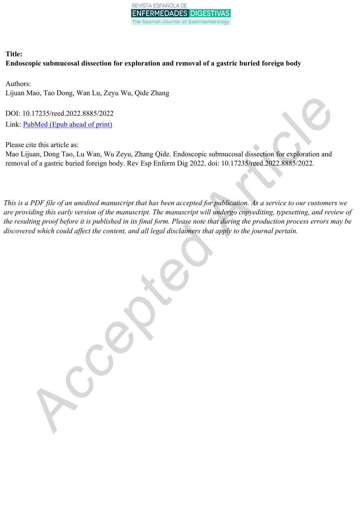

# **Title: Endoscopic submucosal dissection for exploration and removal of a gastric buried foreign body**

Authors: Lijuan Mao, Tao Dong, Wan Lu, Zeyu Wu, Qide Zhang

DOI: 10.17235/reed.2022.8885/2022 Link: [PubMed](https://www.ncbi.nlm.nih.gov/pubmed/?term=10.17235/reed.2022.8885/2022) (Epub ahead of print)

Please cite this article as:

Mao Lijuan, Dong Tao, Lu Wan, Wu Zeyu, Zhang Qide. Endoscopic submucosal dissection for exploration and removal of a gastric buried foreign body. Rev Esp Enferm Dig 2022. doi: 10.17235/reed.2022.8885/2022.

This is a PDF file of an unedited manuscript that has been accepted for publication. As a service to our customers we are providing this early version of the manuscript. The manuscript will undergo copyediting, typesetting, and review of the resulting proof before it is published in its final form. Please note that during the production process errors may be *discovered which could affect the content, and all legal disclaimers that apply to the journal pertain.*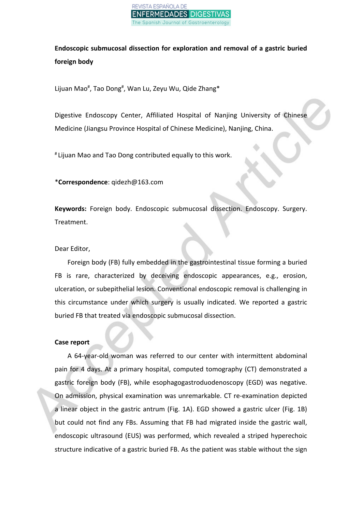

**Endoscopic submucosal dissection for exploration and removal of a gastric buried foreign body**

Lijuan Mao<sup>#</sup>, Tao Dong<sup>#</sup>, Wan Lu, Zeyu Wu, Qide Zhang\*

Digestive Endoscopy Center, Affiliated Hospital of Nanjing University of Chinese Medicine (Jiangsu Province Hospital of Chinese Medicine), Nanjing, China.

# Lijuan Mao and Tao Dong contributed equally to this work.

\***Correspondence**: qidezh@163.com

**Keywords:** Foreign body. Endoscopic submucosal dissection. Endoscopy. Surgery. Treatment.

### Dear Editor,

Foreign body (FB) fully embedded in the gastrointestinal tissue forming a buried FB is rare, characterized by deceiving endoscopic appearances, e.g., erosion, ulceration, or subepithelial lesion. Conventional endoscopic removal is challenging in this circumstance under which surgery is usually indicated. We reported a gastric buried FB that treated via endoscopic submucosal dissection.

## **Case report**

A 64-year-old woman was referred to our center with intermittent abdominal pain for 4 days. At a primary hospital, computed tomography (CT) demonstrated a gastric foreign body (FB), while esophagogastroduodenoscopy (EGD) was negative. On admission, physical examination was unremarkable. CT re-examination depicted a linear object in the gastric antrum (Fig. 1A). EGD showed a gastric ulcer (Fig. 1B) but could not find any FBs. Assuming that FB had migrated inside the gastric wall, endoscopic ultrasound (EUS) was performed, which revealed a striped hyperechoic structure indicative of a gastric buried FB. As the patient was stable without the sign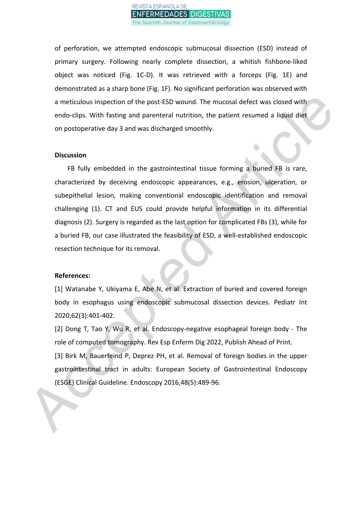

of perforation, we attempted endoscopic submucosal dissection (ESD) instead of primary surgery. Following nearly complete dissection, a whitish fishbone-liked object was noticed (Fig. 1C-D). It was retrieved with a forceps (Fig. 1E) and demonstrated as a sharp bone (Fig. 1F). No significant perforation was observed with a meticulous inspection of the post-ESD wound. The mucosal defect was closed with endo-clips. With fasting and parenteral nutrition, the patient resumed a liquid diet on postoperative day 3 and was discharged smoothly.

#### **Discussion**

FB fully embedded in the gastrointestinal tissue forming a buried FB is rare, characterized by deceiving endoscopic appearances, e.g., erosion, ulceration, or subepithelial lesion, making conventional endoscopic identification and removal challenging (1). CT and EUS could provide helpful information in its differential diagnosis (2). Surgery is regarded as the last option for complicated FBs (3), while for a buried FB, our case illustrated the feasibility of ESD, a well-established endoscopic resection technique for its removal.

#### **References:**

[1] Watanabe Y, Ukiyama E, Abe N, et al. Extraction of buried and covered foreign body in esophagus using endoscopic submucosal dissection devices. Pediatr Int 2020,62(3):401-402.

[2] Dong T, Tao Y, Wu R, et al. Endoscopy-negative esophageal foreign body - The role of computed tomography. Rev Esp Enferm Dig 2022, Publish Ahead of Print. [3] Birk M, Bauerfeind P, Deprez PH, et al. Removal of foreign bodies in the upper gastrointestinal tract in adults: European Society of Gastrointestinal Endoscopy (ESGE) Clinical Guideline. Endoscopy 2016,48(5):489-96.